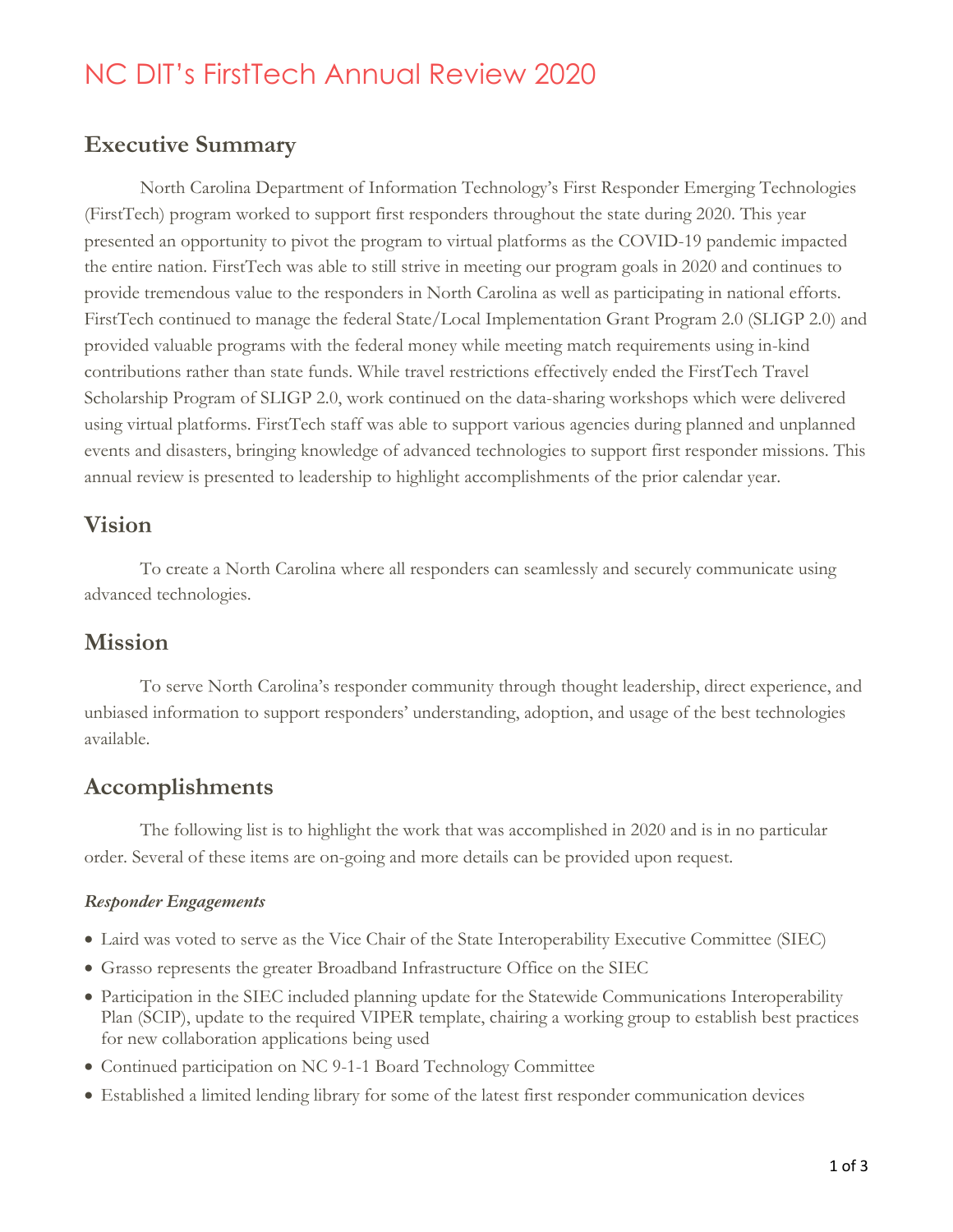# NC DIT's FirstTech Annual Review 2020

## **Executive Summary**

North Carolina Department of Information Technology's First Responder Emerging Technologies (FirstTech) program worked to support first responders throughout the state during 2020. This year presented an opportunity to pivot the program to virtual platforms as the COVID-19 pandemic impacted the entire nation. FirstTech was able to still strive in meeting our program goals in 2020 and continues to provide tremendous value to the responders in North Carolina as well as participating in national efforts. FirstTech continued to manage the federal State/Local Implementation Grant Program 2.0 (SLIGP 2.0) and provided valuable programs with the federal money while meeting match requirements using in-kind contributions rather than state funds. While travel restrictions effectively ended the FirstTech Travel Scholarship Program of SLIGP 2.0, work continued on the data-sharing workshops which were delivered using virtual platforms. FirstTech staff was able to support various agencies during planned and unplanned events and disasters, bringing knowledge of advanced technologies to support first responder missions. This annual review is presented to leadership to highlight accomplishments of the prior calendar year.

## **Vision**

To create a North Carolina where all responders can seamlessly and securely communicate using advanced technologies.

## **Mission**

To serve North Carolina's responder community through thought leadership, direct experience, and unbiased information to support responders' understanding, adoption, and usage of the best technologies available.

## **Accomplishments**

The following list is to highlight the work that was accomplished in 2020 and is in no particular order. Several of these items are on-going and more details can be provided upon request.

### *Responder Engagements*

- Laird was voted to serve as the Vice Chair of the State Interoperability Executive Committee (SIEC)
- Grasso represents the greater Broadband Infrastructure Office on the SIEC
- Participation in the SIEC included planning update for the Statewide Communications Interoperability Plan (SCIP), update to the required VIPER template, chairing a working group to establish best practices for new collaboration applications being used
- Continued participation on NC 9-1-1 Board Technology Committee
- Established a limited lending library for some of the latest first responder communication devices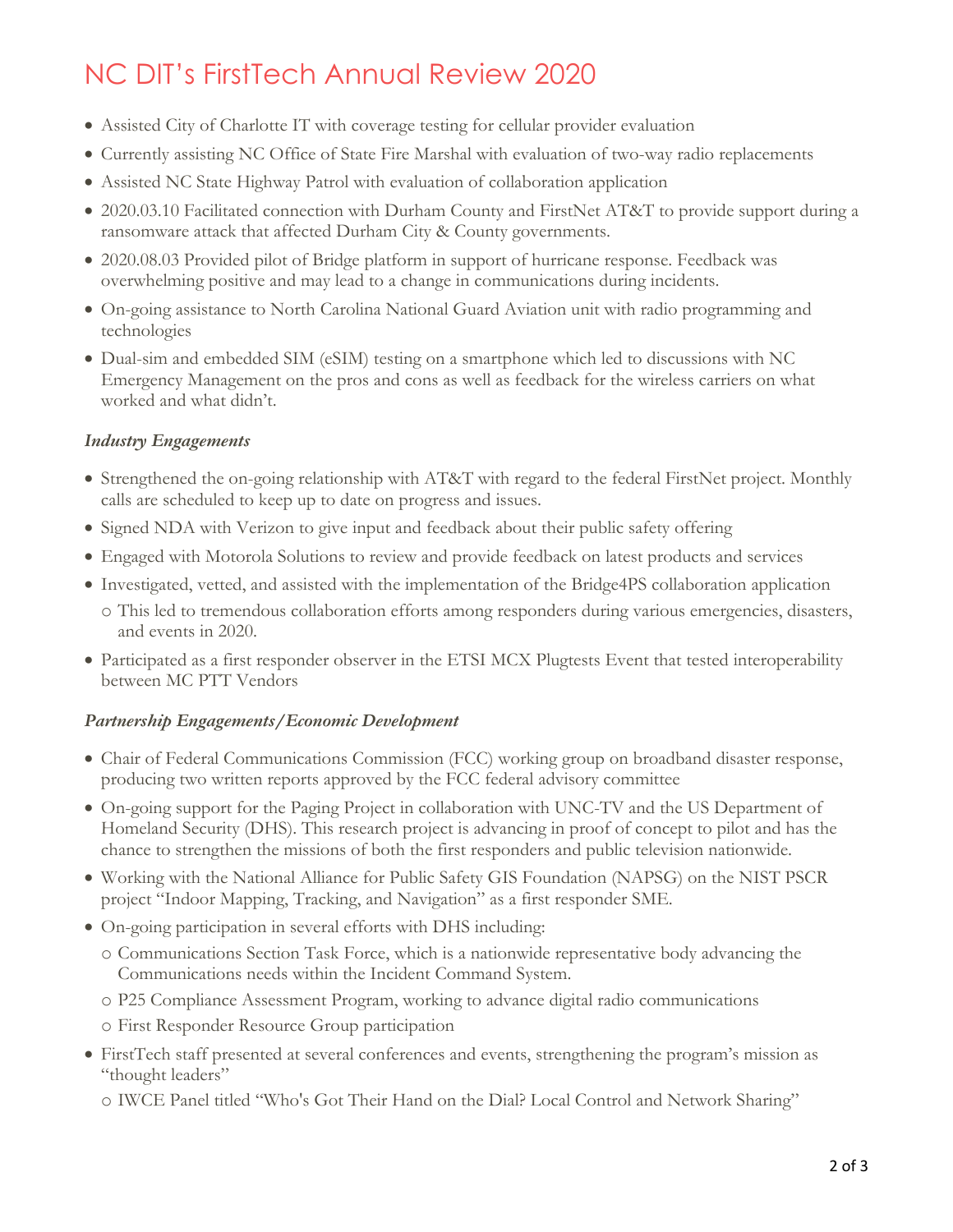# NC DIT's FirstTech Annual Review 2020

- Assisted City of Charlotte IT with coverage testing for cellular provider evaluation
- Currently assisting NC Office of State Fire Marshal with evaluation of two-way radio replacements
- Assisted NC State Highway Patrol with evaluation of collaboration application
- 2020.03.10 Facilitated connection with Durham County and FirstNet AT&T to provide support during a ransomware attack that affected Durham City & County governments.
- 2020.08.03 Provided pilot of Bridge platform in support of hurricane response. Feedback was overwhelming positive and may lead to a change in communications during incidents.
- On-going assistance to North Carolina National Guard Aviation unit with radio programming and technologies
- Dual-sim and embedded SIM (eSIM) testing on a smartphone which led to discussions with NC Emergency Management on the pros and cons as well as feedback for the wireless carriers on what worked and what didn't.

#### *Industry Engagements*

- Strengthened the on-going relationship with AT&T with regard to the federal FirstNet project. Monthly calls are scheduled to keep up to date on progress and issues.
- Signed NDA with Verizon to give input and feedback about their public safety offering
- Engaged with Motorola Solutions to review and provide feedback on latest products and services
- Investigated, vetted, and assisted with the implementation of the Bridge4PS collaboration application
	- o This led to tremendous collaboration efforts among responders during various emergencies, disasters, and events in 2020.
- Participated as a first responder observer in the ETSI MCX Plugtests Event that tested interoperability between MC PTT Vendors

#### *Partnership Engagements/Economic Development*

- Chair of Federal Communications Commission (FCC) working group on broadband disaster response, producing two written reports approved by the FCC federal advisory committee
- On-going support for the Paging Project in collaboration with UNC-TV and the US Department of Homeland Security (DHS). This research project is advancing in proof of concept to pilot and has the chance to strengthen the missions of both the first responders and public television nationwide.
- Working with the National Alliance for Public Safety GIS Foundation (NAPSG) on the NIST PSCR project "Indoor Mapping, Tracking, and Navigation" as a first responder SME.
- On-going participation in several efforts with DHS including:
	- o Communications Section Task Force, which is a nationwide representative body advancing the Communications needs within the Incident Command System.
	- o P25 Compliance Assessment Program, working to advance digital radio communications
	- o First Responder Resource Group participation
- FirstTech staff presented at several conferences and events, strengthening the program's mission as "thought leaders"
	- o IWCE Panel titled "Who's Got Their Hand on the Dial? Local Control and Network Sharing"